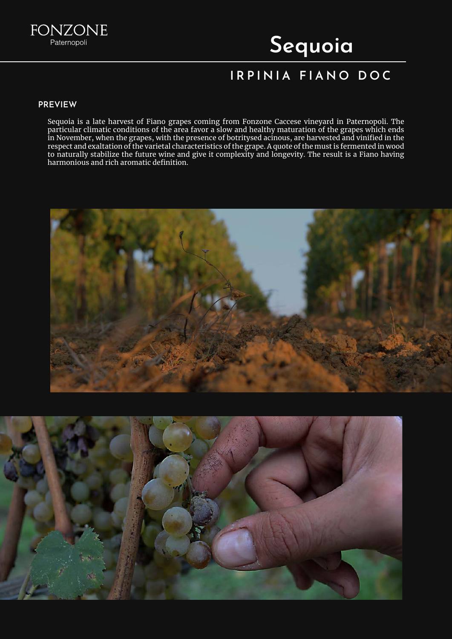

# Sequoia

## IRPINIA FIANO DOC

#### PREVIEW

Sequoia is a late harvest of Fiano grapes coming from Fonzone Caccese vineyard in Paternopoli. The particular climatic conditions of the area favor a slow and healthy maturation of the grapes which ends in November, when the grapes, with the presence of botritysed acinous, are harvested and vinified in the respect and exaltation of the varietal characteristics of the grape. A quote of the must is fermented in wood to naturally stabilize the future wine and give it complexity and longevity. The result is a Fiano having harmonious and rich aromatic definition.